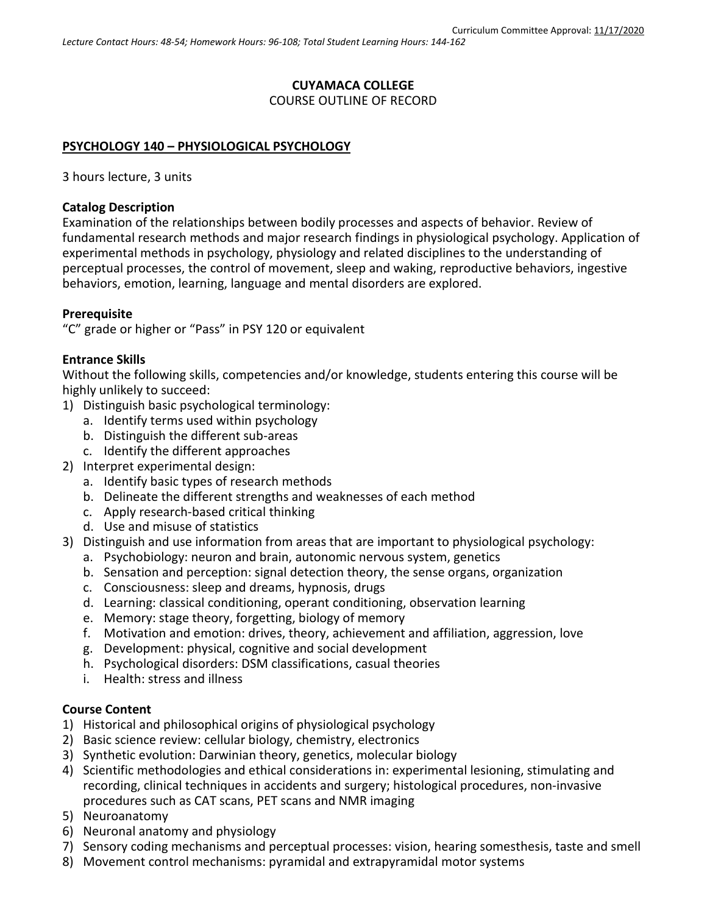# **CUYAMACA COLLEGE** COURSE OUTLINE OF RECORD

### **PSYCHOLOGY 140 – PHYSIOLOGICAL PSYCHOLOGY**

3 hours lecture, 3 units

#### **Catalog Description**

Examination of the relationships between bodily processes and aspects of behavior. Review of fundamental research methods and major research findings in physiological psychology. Application of experimental methods in psychology, physiology and related disciplines to the understanding of perceptual processes, the control of movement, sleep and waking, reproductive behaviors, ingestive behaviors, emotion, learning, language and mental disorders are explored.

### **Prerequisite**

"C" grade or higher or "Pass" in PSY 120 or equivalent

### **Entrance Skills**

Without the following skills, competencies and/or knowledge, students entering this course will be highly unlikely to succeed:

- 1) Distinguish basic psychological terminology:
	- a. Identify terms used within psychology
	- b. Distinguish the different sub-areas
	- c. Identify the different approaches
- 2) Interpret experimental design:
	- a. Identify basic types of research methods
	- b. Delineate the different strengths and weaknesses of each method
	- c. Apply research-based critical thinking
	- d. Use and misuse of statistics
- 3) Distinguish and use information from areas that are important to physiological psychology:
	- a. Psychobiology: neuron and brain, autonomic nervous system, genetics
	- b. Sensation and perception: signal detection theory, the sense organs, organization
	- c. Consciousness: sleep and dreams, hypnosis, drugs
	- d. Learning: classical conditioning, operant conditioning, observation learning
	- e. Memory: stage theory, forgetting, biology of memory
	- f. Motivation and emotion: drives, theory, achievement and affiliation, aggression, love
	- g. Development: physical, cognitive and social development
	- h. Psychological disorders: DSM classifications, casual theories
	- i. Health: stress and illness

### **Course Content**

- 1) Historical and philosophical origins of physiological psychology
- 2) Basic science review: cellular biology, chemistry, electronics
- 3) Synthetic evolution: Darwinian theory, genetics, molecular biology
- 4) Scientific methodologies and ethical considerations in: experimental lesioning, stimulating and recording, clinical techniques in accidents and surgery; histological procedures, non-invasive procedures such as CAT scans, PET scans and NMR imaging
- 5) Neuroanatomy
- 6) Neuronal anatomy and physiology
- 7) Sensory coding mechanisms and perceptual processes: vision, hearing somesthesis, taste and smell
- 8) Movement control mechanisms: pyramidal and extrapyramidal motor systems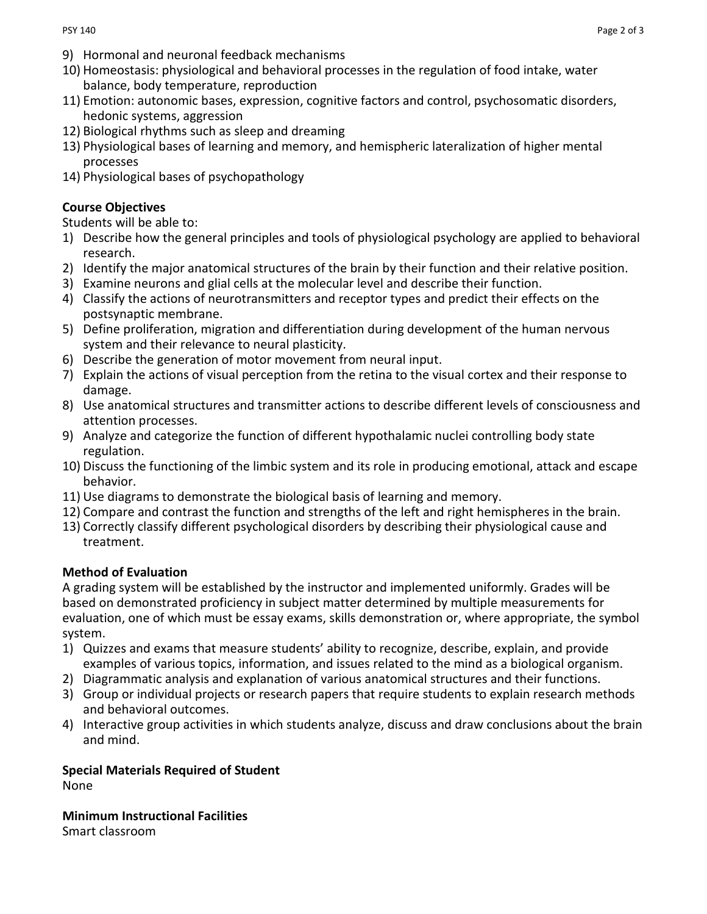- 9) Hormonal and neuronal feedback mechanisms
- 10) Homeostasis: physiological and behavioral processes in the regulation of food intake, water balance, body temperature, reproduction
- 11) Emotion: autonomic bases, expression, cognitive factors and control, psychosomatic disorders, hedonic systems, aggression
- 12) Biological rhythms such as sleep and dreaming
- 13) Physiological bases of learning and memory, and hemispheric lateralization of higher mental processes
- 14) Physiological bases of psychopathology

### **Course Objectives**

Students will be able to:

- 1) Describe how the general principles and tools of physiological psychology are applied to behavioral research.
- 2) Identify the major anatomical structures of the brain by their function and their relative position.
- 3) Examine neurons and glial cells at the molecular level and describe their function.
- 4) Classify the actions of neurotransmitters and receptor types and predict their effects on the postsynaptic membrane.
- 5) Define proliferation, migration and differentiation during development of the human nervous system and their relevance to neural plasticity.
- 6) Describe the generation of motor movement from neural input.
- 7) Explain the actions of visual perception from the retina to the visual cortex and their response to damage.
- 8) Use anatomical structures and transmitter actions to describe different levels of consciousness and attention processes.
- 9) Analyze and categorize the function of different hypothalamic nuclei controlling body state regulation.
- 10) Discuss the functioning of the limbic system and its role in producing emotional, attack and escape behavior.
- 11) Use diagrams to demonstrate the biological basis of learning and memory.
- 12) Compare and contrast the function and strengths of the left and right hemispheres in the brain.
- 13) Correctly classify different psychological disorders by describing their physiological cause and treatment.

#### **Method of Evaluation**

A grading system will be established by the instructor and implemented uniformly. Grades will be based on demonstrated proficiency in subject matter determined by multiple measurements for evaluation, one of which must be essay exams, skills demonstration or, where appropriate, the symbol system.

- 1) Quizzes and exams that measure students' ability to recognize, describe, explain, and provide examples of various topics, information, and issues related to the mind as a biological organism.
- 2) Diagrammatic analysis and explanation of various anatomical structures and their functions.
- 3) Group or individual projects or research papers that require students to explain research methods and behavioral outcomes.
- 4) Interactive group activities in which students analyze, discuss and draw conclusions about the brain and mind.

**Special Materials Required of Student** None

**Minimum Instructional Facilities** Smart classroom